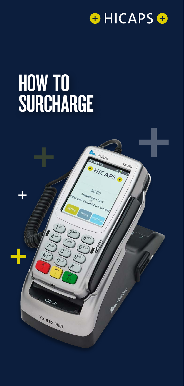

# HOW TO SURCHARGE

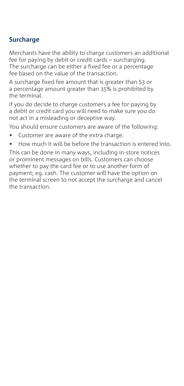## **Surcharge**

Merchants have the ability to charge customers an additional fee for paying by debit or credit cards – surcharging.

The surcharge can be either a fixed fee or a percentage fee based on the value of the transaction.

A surcharge fixed fee amount that is greater than \$3 or a percentage amount greater than 15% is prohibited by the terminal.

If you do decide to charge customers a fee for paying by a debit or credit card you will need to make sure you do not act in a misleading or deceptive way.

You should ensure customers are aware of the following:

- Customer are aware of the extra charge.
- How much it will be before the transaction is entered into.

This can be done in many ways, including in-store notices or prominent messages on bills. Customers can choose whether to pay the card fee or to use another form of payment; eg. cash. The customer will have the option on the terminal screen to not accept the surcharge and cancel the transaction.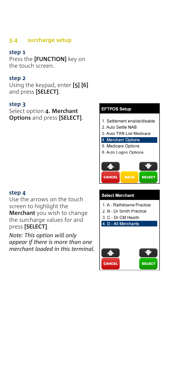#### **3.4 surcharge setup**

#### **step 1**

Press the **[FUNCTION]** key on the touch screen.

#### **step 2**

Using the keypad, enter **[5] [6]** and press **[SELECT]**.

#### **step 3**

Select option **4. Merchant Options** and press **[SELECT]**.

#### **step 4**

Use the arrows on the touch screen to highlight the **Merchant** you wish to change the surcharge values for and press **[SELECT]**.

*Note: This option will only appear if there is more than one merchant loaded in this terminal.*

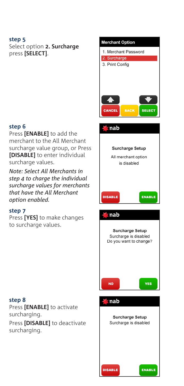Select option **2. Surcharge** press **[SELECT]**.

#### **step 6**

Press **[ENABLE]** to add the merchant to the All Merchant surcharge value group, or Press **[DISABLE]** to enter individual surcharge values.

*Note: Select All Merchants in step 4 to charge the individual surcharge values for merchants that have the All Merchant option enabled.*

#### **step 7**

Press **[YES]** to make changes to surcharge values.

#### **step 8**

Press **[ENABLE]** to activate surcharging. Press **[DISABLE]** to deactivate surcharging.

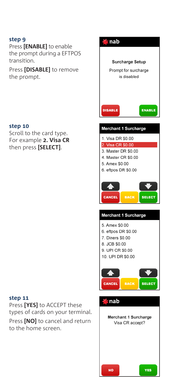Press **[ENABLE]** to enable the prompt during a EFTPOS transition.

Press **[DISABLE]** to remove the prompt.

#### **step 10**

Scroll to the card type. For example **2. Visa CR** then press **[SELECT]**.

#### **step 11**

Press **[YES]** to ACCEPT these types of cards on your terminal.

Press **[NO]** to cancel and return to the home screen.

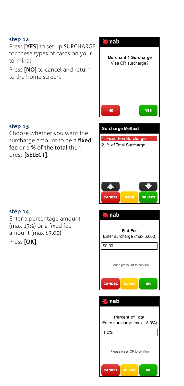Press **[YES]** to set up SURCHARGE for these types of cards on your terminal.

Press **[NO]** to cancel and return to the home screen.

### **step 13**

Choose whether you want the surcharge amount to be a **fixed fee** or a **% of the total** then press **[SELECT]**.

#### **step 14**

Enter a percentage amount (max 15%) or a fixed fee amount (max \$3.00).

Press **[OK]**.



|  | Please press OK to confirm |
|--|----------------------------|
|  |                            |



| <b>Percent of Total</b><br>Enter surcharge (max 15.0%) |  |  |  |
|--------------------------------------------------------|--|--|--|
| 1.0%                                                   |  |  |  |
| Please press OK to confirm                             |  |  |  |
| <b>CLEAR</b><br>CANCEL                                 |  |  |  |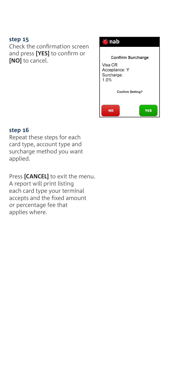Check the confirmation screen and press **[YES]** to confirm or **[NO]** to cancel.



#### **step 16**

Repeat these steps for each card type, account type and surcharge method you want applied.

Press **[CANCEL]** to exit the menu. A report will print listing each card type your terminal accepts and the fixed amount or percentage fee that applies where.